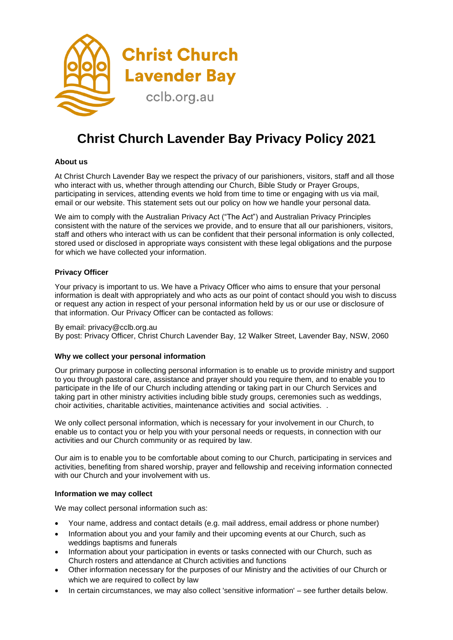

## **Christ Church Lavender Bay Privacy Policy 2021**

## **About us**

At Christ Church Lavender Bay we respect the privacy of our parishioners, visitors, staff and all those who interact with us, whether through attending our Church, Bible Study or Prayer Groups, participating in services, attending events we hold from time to time or engaging with us via mail, email or our website. This statement sets out our policy on how we handle your personal data.

We aim to comply with the Australian Privacy Act ("The Act") and Australian Privacy Principles consistent with the nature of the services we provide, and to ensure that all our parishioners, visitors, staff and others who interact with us can be confident that their personal information is only collected, stored used or disclosed in appropriate ways consistent with these legal obligations and the purpose for which we have collected your information.

## **Privacy Officer**

Your privacy is important to us. We have a Privacy Officer who aims to ensure that your personal information is dealt with appropriately and who acts as our point of contact should you wish to discuss or request any action in respect of your personal information held by us or our use or disclosure of that information. Our Privacy Officer can be contacted as follows:

## By email: privacy@cclb.org.au

By post: Privacy Officer, Christ Church Lavender Bay, 12 Walker Street, Lavender Bay, NSW, 2060

### **Why we collect your personal information**

Our primary purpose in collecting personal information is to enable us to provide ministry and support to you through pastoral care, assistance and prayer should you require them, and to enable you to participate in the life of our Church including attending or taking part in our Church Services and taking part in other ministry activities including bible study groups, ceremonies such as weddings, choir activities, charitable activities, maintenance activities and social activities. .

We only collect personal information, which is necessary for your involvement in our Church, to enable us to contact you or help you with your personal needs or requests, in connection with our activities and our Church community or as required by law.

Our aim is to enable you to be comfortable about coming to our Church, participating in services and activities, benefiting from shared worship, prayer and fellowship and receiving information connected with our Church and your involvement with us.

## **Information we may collect**

We may collect personal information such as:

- Your name, address and contact details (e.g. mail address, email address or phone number)
- Information about you and your family and their upcoming events at our Church, such as weddings baptisms and funerals
- Information about your participation in events or tasks connected with our Church, such as Church rosters and attendance at Church activities and functions
- Other information necessary for the purposes of our Ministry and the activities of our Church or which we are required to collect by law
- In certain circumstances, we may also collect 'sensitive information' see further details below.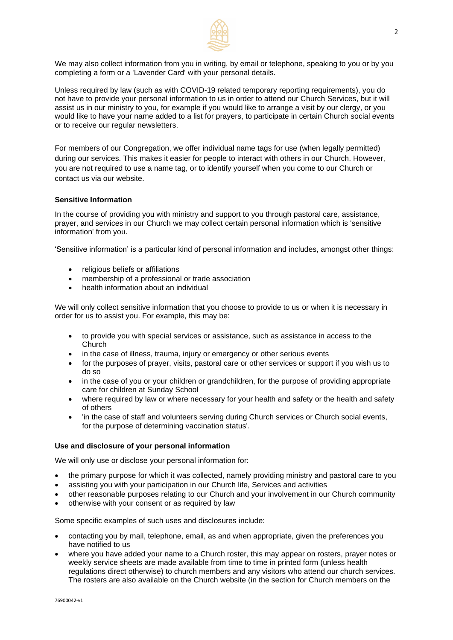

We may also collect information from you in writing, by email or telephone, speaking to you or by you completing a form or a 'Lavender Card' with your personal details.

Unless required by law (such as with COVID-19 related temporary reporting requirements), you do not have to provide your personal information to us in order to attend our Church Services, but it will assist us in our ministry to you, for example if you would like to arrange a visit by our clergy, or you would like to have your name added to a list for prayers, to participate in certain Church social events or to receive our regular newsletters.

For members of our Congregation, we offer individual name tags for use (when legally permitted) during our services. This makes it easier for people to interact with others in our Church. However, you are not required to use a name tag, or to identify yourself when you come to our Church or contact us via our website.

## **Sensitive Information**

In the course of providing you with ministry and support to you through pastoral care, assistance, prayer, and services in our Church we may collect certain personal information which is 'sensitive information' from you.

'Sensitive information' is a particular kind of personal information and includes, amongst other things:

- religious beliefs or affiliations
- membership of a professional or trade association
- health information about an individual

We will only collect sensitive information that you choose to provide to us or when it is necessary in order for us to assist you. For example, this may be:

- to provide you with special services or assistance, such as assistance in access to the Church
- in the case of illness, trauma, injury or emergency or other serious events
- for the purposes of prayer, visits, pastoral care or other services or support if you wish us to do so
- in the case of you or your children or grandchildren, for the purpose of providing appropriate care for children at Sunday School
- where required by law or where necessary for your health and safety or the health and safety of others
- 'in the case of staff and volunteers serving during Church services or Church social events, for the purpose of determining vaccination status'.

### **Use and disclosure of your personal information**

We will only use or disclose your personal information for:

- the primary purpose for which it was collected, namely providing ministry and pastoral care to you
- assisting you with your participation in our Church life, Services and activities
- other reasonable purposes relating to our Church and your involvement in our Church community
- otherwise with your consent or as required by law

Some specific examples of such uses and disclosures include:

- contacting you by mail, telephone, email, as and when appropriate, given the preferences you have notified to us
- where you have added your name to a Church roster, this may appear on rosters, prayer notes or weekly service sheets are made available from time to time in printed form (unless health regulations direct otherwise) to church members and any visitors who attend our church services. The rosters are also available on the Church website (in the section for Church members on the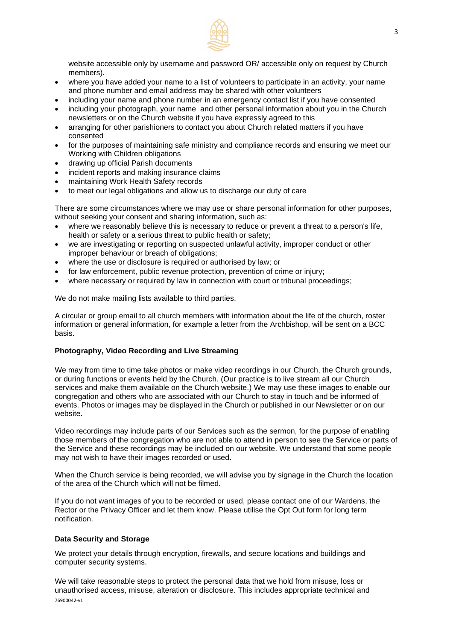

website accessible only by username and password OR/ accessible only on request by Church members).

- where you have added your name to a list of volunteers to participate in an activity, your name and phone number and email address may be shared with other volunteers
- including your name and phone number in an emergency contact list if you have consented
- including your photograph, your name and other personal information about you in the Church newsletters or on the Church website if you have expressly agreed to this
- arranging for other parishioners to contact you about Church related matters if you have consented
- for the purposes of maintaining safe ministry and compliance records and ensuring we meet our Working with Children obligations
- drawing up official Parish documents
- incident reports and making insurance claims
- maintaining Work Health Safety records
- to meet our legal obligations and allow us to discharge our duty of care

There are some circumstances where we may use or share personal information for other purposes, without seeking your consent and sharing information, such as:

- where we reasonably believe this is necessary to reduce or prevent a threat to a person's life, health or safety or a serious threat to public health or safety;
- we are investigating or reporting on suspected unlawful activity, improper conduct or other improper behaviour or breach of obligations;
- where the use or disclosure is required or authorised by law; or
- for law enforcement, public revenue protection, prevention of crime or injury;
- where necessary or required by law in connection with court or tribunal proceedings;

We do not make mailing lists available to third parties.

A circular or group email to all church members with information about the life of the church, roster information or general information, for example a letter from the Archbishop, will be sent on a BCC basis.

### **Photography, Video Recording and Live Streaming**

We may from time to time take photos or make video recordings in our Church, the Church grounds, or during functions or events held by the Church. (Our practice is to live stream all our Church services and make them available on the Church website.) We may use these images to enable our congregation and others who are associated with our Church to stay in touch and be informed of events. Photos or images may be displayed in the Church or published in our Newsletter or on our website.

Video recordings may include parts of our Services such as the sermon, for the purpose of enabling those members of the congregation who are not able to attend in person to see the Service or parts of the Service and these recordings may be included on our website. We understand that some people may not wish to have their images recorded or used.

When the Church service is being recorded, we will advise you by signage in the Church the location of the area of the Church which will not be filmed.

If you do not want images of you to be recorded or used, please contact one of our Wardens, the Rector or the Privacy Officer and let them know. Please utilise the Opt Out form for long term notification.

#### **Data Security and Storage**

We protect your details through encryption, firewalls, and secure locations and buildings and computer security systems.

76900042-v1 We will take reasonable steps to protect the personal data that we hold from misuse, loss or unauthorised access, misuse, alteration or disclosure. This includes appropriate technical and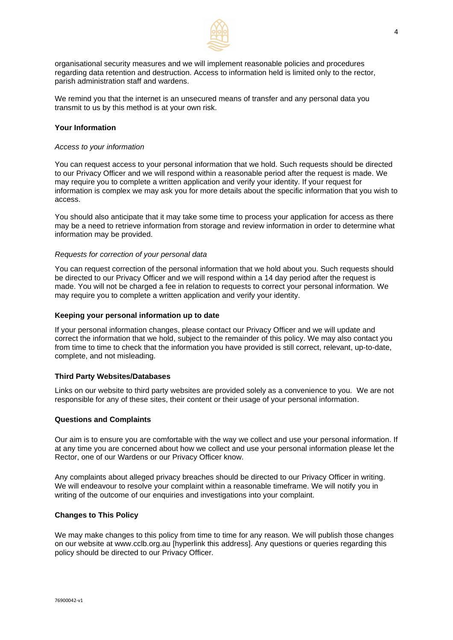

organisational security measures and we will implement reasonable policies and procedures regarding data retention and destruction. Access to information held is limited only to the rector, parish administration staff and wardens.

We remind you that the internet is an unsecured means of transfer and any personal data you transmit to us by this method is at your own risk.

#### **Your Information**

#### *Access to your information*

You can request access to your personal information that we hold. Such requests should be directed to our Privacy Officer and we will respond within a reasonable period after the request is made. We may require you to complete a written application and verify your identity. If your request for information is complex we may ask you for more details about the specific information that you wish to access.

You should also anticipate that it may take some time to process your application for access as there may be a need to retrieve information from storage and review information in order to determine what information may be provided.

## *Requests for correction of your personal data*

You can request correction of the personal information that we hold about you. Such requests should be directed to our Privacy Officer and we will respond within a 14 day period after the request is made. You will not be charged a fee in relation to requests to correct your personal information. We may require you to complete a written application and verify your identity.

#### **Keeping your personal information up to date**

If your personal information changes, please contact our Privacy Officer and we will update and correct the information that we hold, subject to the remainder of this policy. We may also contact you from time to time to check that the information you have provided is still correct, relevant, up-to-date, complete, and not misleading.

#### **Third Party Websites/Databases**

Links on our website to third party websites are provided solely as a convenience to you. We are not responsible for any of these sites, their content or their usage of your personal information.

#### **Questions and Complaints**

Our aim is to ensure you are comfortable with the way we collect and use your personal information. If at any time you are concerned about how we collect and use your personal information please let the Rector, one of our Wardens or our Privacy Officer know.

Any complaints about alleged privacy breaches should be directed to our Privacy Officer in writing. We will endeavour to resolve your complaint within a reasonable timeframe. We will notify you in writing of the outcome of our enquiries and investigations into your complaint.

#### **Changes to This Policy**

We may make changes to this policy from time to time for any reason. We will publish those changes on our website at [www.cclb.org.au](http://www.cclb.org.au/) [hyperlink this address]. Any questions or queries regarding this policy should be directed to our Privacy Officer.